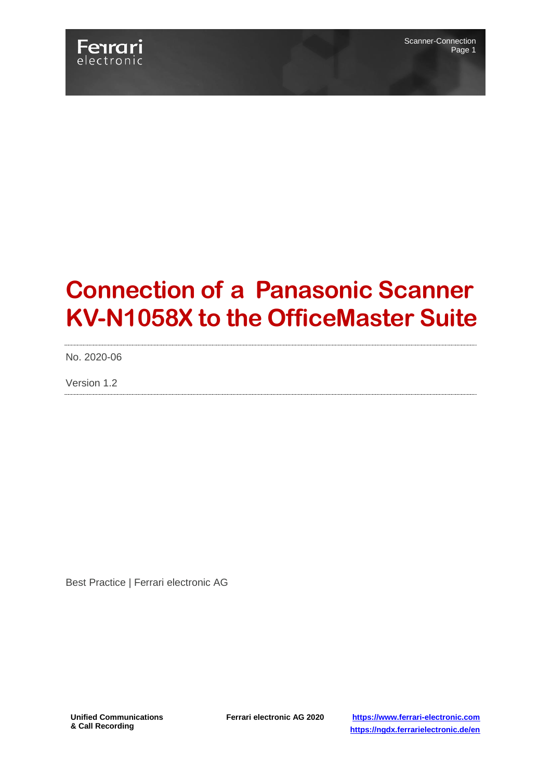

# **Connection of a Panasonic Scanner KV-N1058X to the OfficeMaster Suite**

No. 2020-06

Version 1.2

Best Practice | Ferrari electronic AG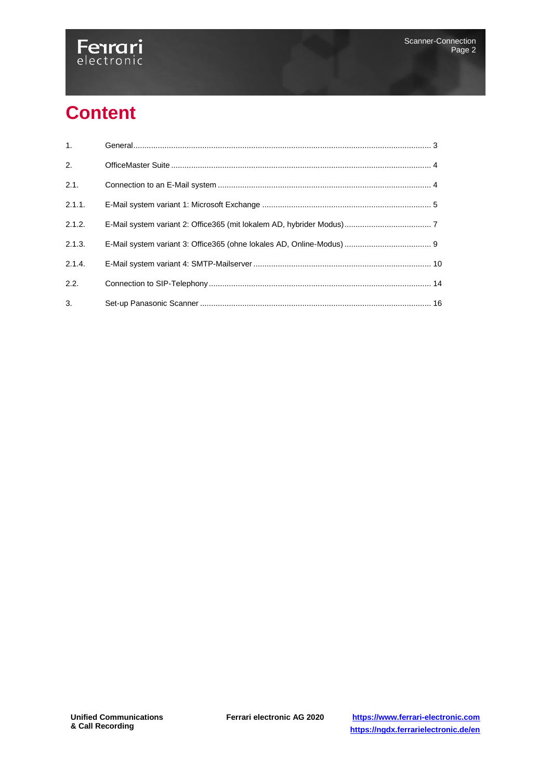

## **Content**

| 1.     |  |
|--------|--|
| 2.     |  |
| 2.1.   |  |
| 2.1.1. |  |
| 2.1.2. |  |
| 2.1.3. |  |
| 2.1.4. |  |
| 2.2.   |  |
| 3.     |  |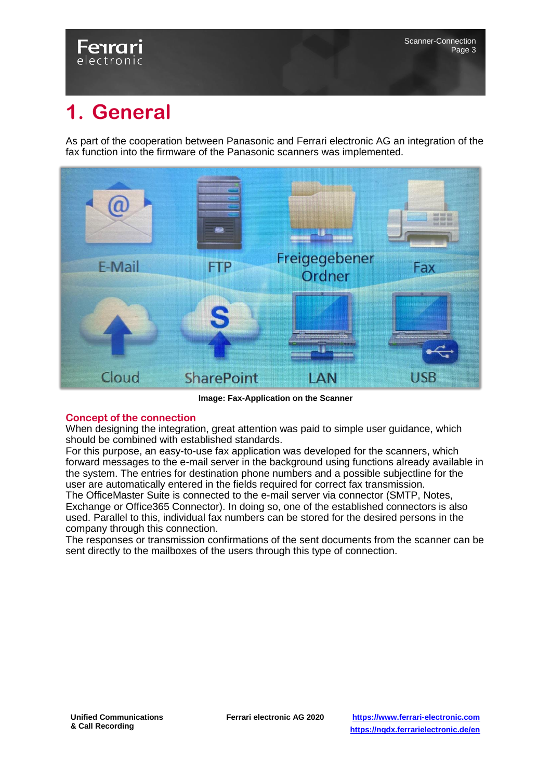## Fenrari electronic

## **1. General**

As part of the cooperation between Panasonic and Ferrari electronic AG an integration of the fax function into the firmware of the Panasonic scanners was implemented.



**Image: Fax-Application on the Scanner**

### **Concept of the connection**

When designing the integration, great attention was paid to simple user guidance, which should be combined with established standards.

For this purpose, an easy-to-use fax application was developed for the scanners, which forward messages to the e-mail server in the background using functions already available in the system. The entries for destination phone numbers and a possible subjectline for the user are automatically entered in the fields required for correct fax transmission.

The OfficeMaster Suite is connected to the e-mail server via connector (SMTP, Notes, Exchange or Office365 Connector). In doing so, one of the established connectors is also used. Parallel to this, individual fax numbers can be stored for the desired persons in the company through this connection.

The responses or transmission confirmations of the sent documents from the scanner can be sent directly to the mailboxes of the users through this type of connection.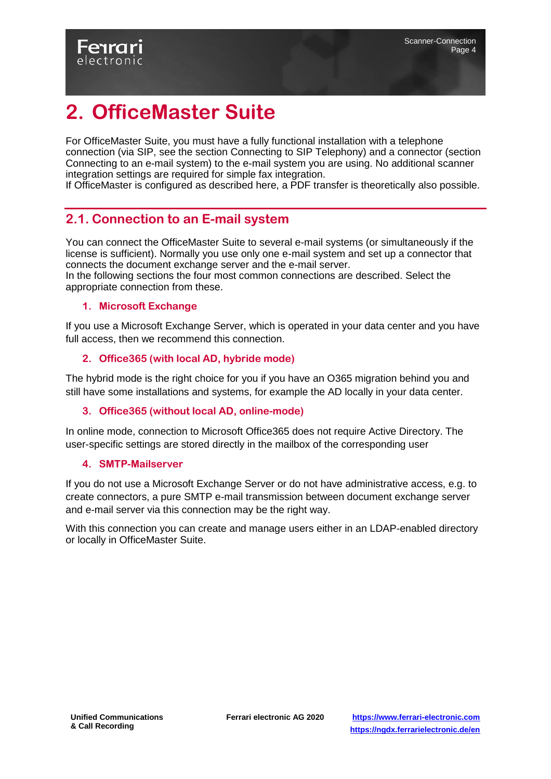## <span id="page-3-0"></span>**2. OfficeMaster Suite**

For OfficeMaster Suite, you must have a fully functional installation with a telephone connection (via SIP, see the section Connecting to SIP Telephony) and a connector (section Connecting to an e-mail system) to the e-mail system you are using. No additional scanner integration settings are required for simple fax integration.

<span id="page-3-1"></span>If OfficeMaster is configured as described here, a PDF transfer is theoretically also possible.

### **2.1. Connection to an E-mail system**

You can connect the OfficeMaster Suite to several e-mail systems (or simultaneously if the license is sufficient). Normally you use only one e-mail system and set up a connector that connects the document exchange server and the e-mail server.

In the following sections the four most common connections are described. Select the appropriate connection from these.

#### **1. Microsoft Exchange**

If you use a Microsoft Exchange Server, which is operated in your data center and you have full access, then we recommend this connection.

#### **2. Office365 (with local AD, hybride mode)**

The hybrid mode is the right choice for you if you have an O365 migration behind you and still have some installations and systems, for example the AD locally in your data center.

### **3. Office365 (without local AD, online-mode)**

In online mode, connection to Microsoft Office365 does not require Active Directory. The user-specific settings are stored directly in the mailbox of the corresponding user

#### **4. SMTP-Mailserver**

If you do not use a Microsoft Exchange Server or do not have administrative access, e.g. to create connectors, a pure SMTP e-mail transmission between document exchange server and e-mail server via this connection may be the right way.

With this connection you can create and manage users either in an LDAP-enabled directory or locally in OfficeMaster Suite.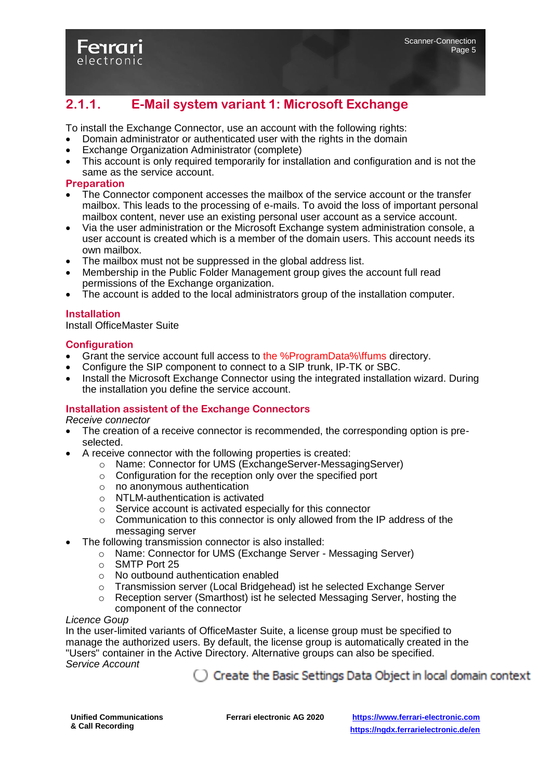

## <span id="page-4-0"></span>**2.1.1. E-Mail system variant 1: Microsoft Exchange**

To install the Exchange Connector, use an account with the following rights:

- Domain administrator or authenticated user with the rights in the domain
- Exchange Organization Administrator (complete)
- This account is only required temporarily for installation and configuration and is not the same as the service account.

#### **Preparation**

- The Connector component accesses the mailbox of the service account or the transfer mailbox. This leads to the processing of e-mails. To avoid the loss of important personal mailbox content, never use an existing personal user account as a service account.
- Via the user administration or the Microsoft Exchange system administration console, a user account is created which is a member of the domain users. This account needs its own mailbox.
- The mailbox must not be suppressed in the global address list.
- Membership in the Public Folder Management group gives the account full read permissions of the Exchange organization.
- The account is added to the local administrators group of the installation computer.

#### **Installation**

Install OfficeMaster Suite

#### **Configuration**

- Grant the service account full access to the %ProgramData%\ffums directory.
- Configure the SIP component to connect to a SIP trunk, IP-TK or SBC.
- Install the Microsoft Exchange Connector using the integrated installation wizard. During the installation you define the service account.

#### **Installation assistent of the Exchange Connectors**

*Receive connector*

- The creation of a receive connector is recommended, the corresponding option is preselected.
- A receive connector with the following properties is created:
	- o Name: Connector for UMS (ExchangeServer-MessagingServer)
	- o Configuration for the reception only over the specified port
	- o no anonymous authentication
	- o NTLM-authentication is activated
	- o Service account is activated especially for this connector
	- $\circ$  Communication to this connector is only allowed from the IP address of the messaging server
- The following transmission connector is also installed:
	- o Name: Connector for UMS (Exchange Server Messaging Server)
	- o SMTP Port 25
	- o No outbound authentication enabled
	- o Transmission server (Local Bridgehead) ist he selected Exchange Server
	- o Reception server (Smarthost) ist he selected Messaging Server, hosting the component of the connector

#### *Licence Goup*

In the user-limited variants of OfficeMaster Suite, a license group must be specified to manage the authorized users. By default, the license group is automatically created in the "Users" container in the Active Directory. Alternative groups can also be specified. *Service Account*

 $\bigcirc$  Create the Basic Settings Data Object in local domain context for the service account. The account is specially authorized for access to the connector.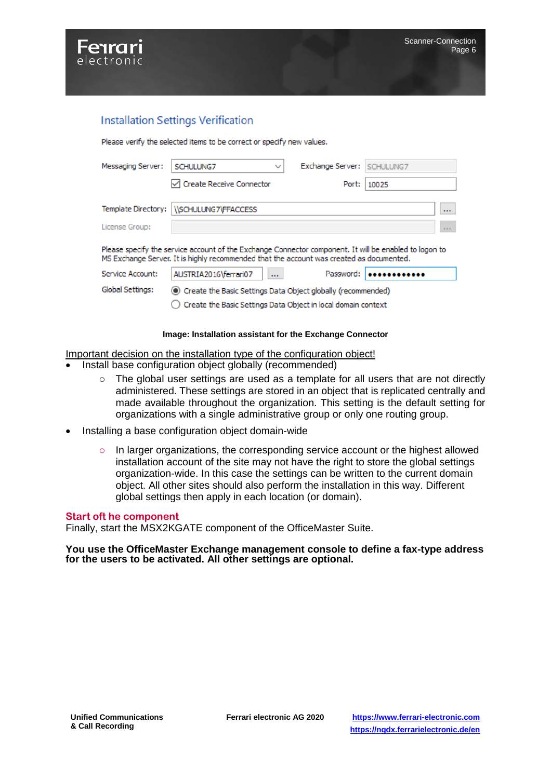

### **Installation Settings Verification**

Please verify the selected items to be correct or specify new values.

| Messaging Server:   | SCHULUNG7<br>$\checkmark$                                                                                                                                                                          | Exchange Server: | SCHULUNG7 |
|---------------------|----------------------------------------------------------------------------------------------------------------------------------------------------------------------------------------------------|------------------|-----------|
|                     | Create Receive Connector                                                                                                                                                                           | Port:            | 10025     |
| Template Directory: | <b><i><u>ISCHULUNG7VFFACCESS</u></i></b>                                                                                                                                                           |                  | 1.11      |
| License Group:      |                                                                                                                                                                                                    |                  |           |
|                     |                                                                                                                                                                                                    |                  | 111       |
|                     | Please specify the service account of the Exchange Connector component. It will be enabled to logon to<br>MS Exchange Server. It is highly recommended that the account was created as documented. |                  |           |
| Service Account:    | AUSTRIA2016\ferrari07<br>$\mathbf{r}$                                                                                                                                                              | Password:        |           |
| Global Settings:    | • Create the Basic Settings Data Object globally (recommended)                                                                                                                                     |                  |           |

#### **Image: Installation assistant for the Exchange Connector**

Important decision on the installation type of the configuration object!

- Install base configuration object globally (recommended)
	- o The global user settings are used as a template for all users that are not directly administered. These settings are stored in an object that is replicated centrally and made available throughout the organization. This setting is the default setting for organizations with a single administrative group or only one routing group.
- Installing a base configuration object domain-wide
	- o In larger organizations, the corresponding service account or the highest allowed installation account of the site may not have the right to store the global settings organization-wide. In this case the settings can be written to the current domain object. All other sites should also perform the installation in this way. Different global settings then apply in each location (or domain).

#### **Start oft he component**

Finally, start the MSX2KGATE component of the OfficeMaster Suite.

**You use the OfficeMaster Exchange management console to define a fax-type address for the users to be activated. All other settings are optional.**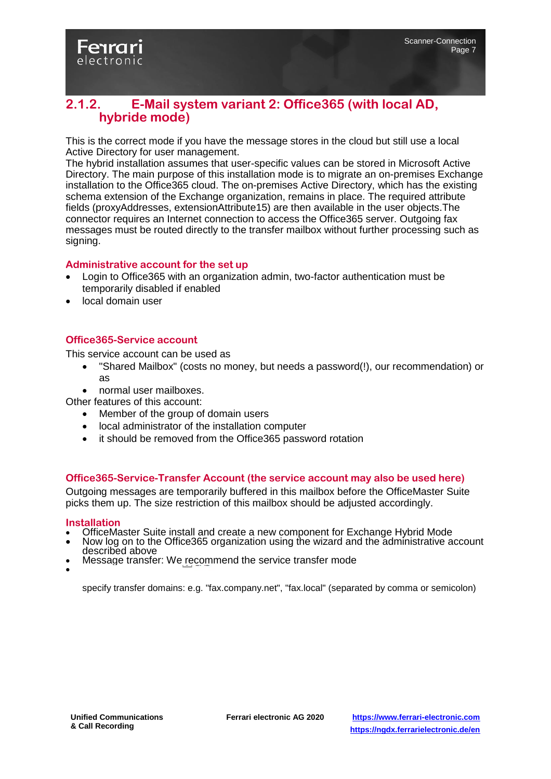

### <span id="page-6-0"></span>**2.1.2. E-Mail system variant 2: Office365 (with local AD, hybride mode)**

This is the correct mode if you have the message stores in the cloud but still use a local Active Directory for user management.

The hybrid installation assumes that user-specific values can be stored in Microsoft Active Directory. The main purpose of this installation mode is to migrate an on-premises Exchange installation to the Office365 cloud. The on-premises Active Directory, which has the existing schema extension of the Exchange organization, remains in place. The required attribute fields (proxyAddresses, extensionAttribute15) are then available in the user objects.The connector requires an Internet connection to access the Office365 server. Outgoing fax messages must be routed directly to the transfer mailbox without further processing such as signing.

#### **Administrative account for the set up**

- Login to Office365 with an organization admin, two-factor authentication must be temporarily disabled if enabled
- local domain user

#### **Office365-Service account**

This service account can be used as

- "Shared Mailbox" (costs no money, but needs a password(!), our recommendation) or as
- normal user mailboxes.

Other features of this account:

- Member of the group of domain users
- local administrator of the installation computer
- it should be removed from the Office365 password rotation

#### **Office365-Service-Transfer Account (the service account may also be used here)**

Outgoing messages are temporarily buffered in this mailbox before the OfficeMaster Suite picks them up. The size restriction of this mailbox should be adjusted accordingly.

#### **Installation**

- OfficeMaster Suite install and create a new component for Exchange Hybrid Mode<br>• Now log on to the Office365 organization using the wizard and the administrative and
- Now log on to the Office365 organization using the wizard and the administrative account described above
- Message transfer: We recommend the service transfer mode

 $\bullet$ 

specify transfer domains: e.g. "fax.company.net", "fax.local" (separated by comma or semicolon)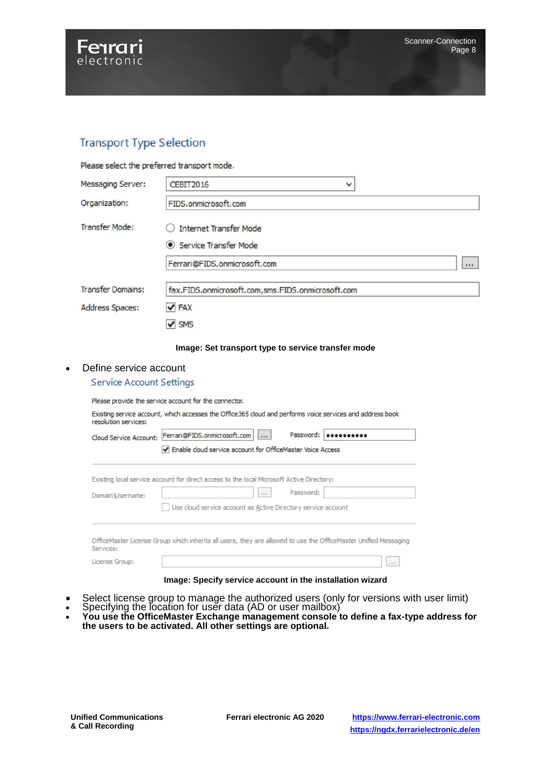

## **Transport Type Selection**

Please select the preferred transport mode.

| Messaging Server:        | CEBIT2016<br>v                                    |
|--------------------------|---------------------------------------------------|
| Organization:            | FIDS.onmicrosoft.com                              |
| <b>Transfer Mode:</b>    | <b>Internet Transfer Mode</b>                     |
|                          | Service Transfer Mode                             |
|                          | Ferrari@FIDS.onmicrosoft.com<br>                  |
| <b>Transfer Domains:</b> | fax.FIDS.onmicrosoft.com,sms.FIDS.onmicrosoft.com |
| Address Spaces:          | $\blacktriangledown$ FAX                          |
|                          | $\vee$ SMS                                        |

#### **Image: Set transport type to service transfer mode**

#### • Define service account

#### **Service Account Settings**

Please provide the service account for the connector.

| Existing service account, which accesses the Office 365 cloud and performs voice services and address book |  |  |  |
|------------------------------------------------------------------------------------------------------------|--|--|--|
| resolution services:                                                                                       |  |  |  |

and and

| Cloud Service Account: | Ferrari@FIDS.onmicrosoft.com                                                                                    | $\cdots$ | Password: |      |
|------------------------|-----------------------------------------------------------------------------------------------------------------|----------|-----------|------|
|                        | Enable cloud service account for OfficeMaster Voice Access                                                      |          |           |      |
|                        | Existing local service account for direct access to the local Microsoft Active Directory:                       |          |           |      |
| Domain \Username:      |                                                                                                                 | 3.8.81   | Password: |      |
|                        | Use cloud service account as Active Directory service account                                                   |          |           |      |
|                        |                                                                                                                 |          |           |      |
| Services:              | OfficeMaster License Group which inherits all users, they are allowed to use the OfficeMaster Unified Messaging |          |           |      |
| License Group:         |                                                                                                                 |          |           | 1.11 |

#### **Image: Specify service account in the installation wizard**

- Select license group to manage the authorized users (only for versions with user limit)
- Specifying the location for user data (AD or user mailbox)
- **You use the OfficeMaster Exchange management console to define a fax-type address for the users to be activated. All other settings are optional.**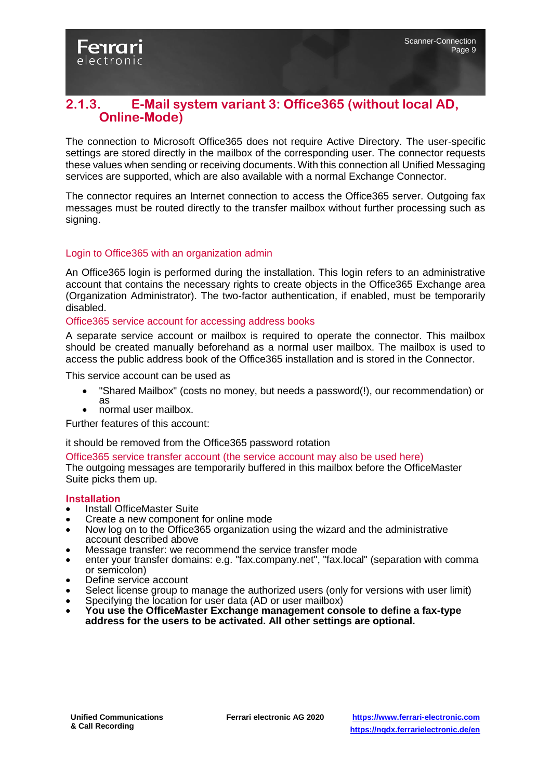### <span id="page-8-0"></span>**2.1.3. E-Mail system variant 3: Office365 (without local AD, Online-Mode)**

The connection to Microsoft Office365 does not require Active Directory. The user-specific settings are stored directly in the mailbox of the corresponding user. The connector requests these values when sending or receiving documents. With this connection all Unified Messaging services are supported, which are also available with a normal Exchange Connector.

The connector requires an Internet connection to access the Office365 server. Outgoing fax messages must be routed directly to the transfer mailbox without further processing such as signing.

#### Login to Office365 with an organization admin

An Office365 login is performed during the installation. This login refers to an administrative account that contains the necessary rights to create objects in the Office365 Exchange area (Organization Administrator). The two-factor authentication, if enabled, must be temporarily disabled.

#### Office365 service account for accessing address books

A separate service account or mailbox is required to operate the connector. This mailbox should be created manually beforehand as a normal user mailbox. The mailbox is used to access the public address book of the Office365 installation and is stored in the Connector.

This service account can be used as

- "Shared Mailbox" (costs no money, but needs a password(!), our recommendation) or as
- normal user mailbox.

Further features of this account:

it should be removed from the Office365 password rotation

#### Office365 service transfer account (the service account may also be used here)

The outgoing messages are temporarily buffered in this mailbox before the OfficeMaster Suite picks them up.

#### **Installation**

- Install OfficeMaster Suite
- Create a new component for online mode
- Now log on to the Office365 organization using the wizard and the administrative account described above
- Message transfer: we recommend the service transfer mode
- enter your transfer domains: e.g. "fax.company.net", "fax.local" (separation with comma or semicolon)
- Define service account
- Select license group to manage the authorized users (only for versions with user limit)
- Specifying the location for user data (AD or user mailbox)
- **You use the OfficeMaster Exchange management console to define a fax-type address for the users to be activated. All other settings are optional.**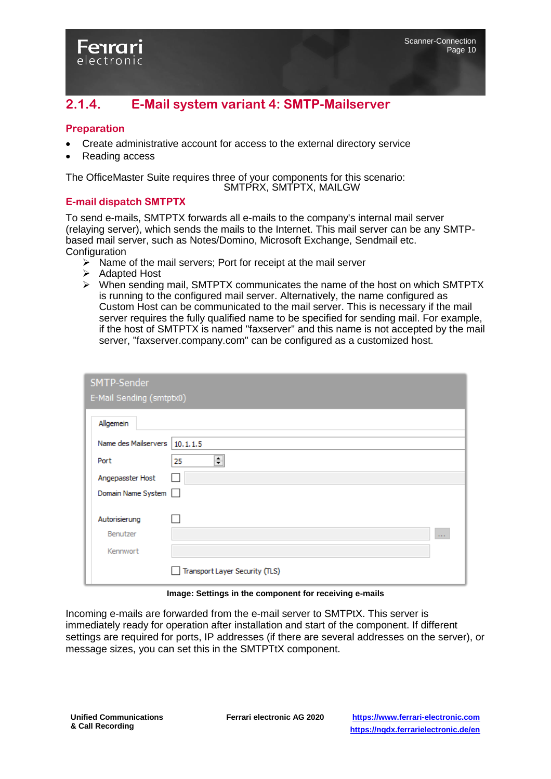<span id="page-9-0"></span>

#### **Preparation**

- Create administrative account for access to the external directory service
- Reading access

electronic

The OfficeMaster Suite requires three of your components for this scenario: SMTPRX, SMTPTX, MAILGW

#### **E-mail dispatch SMTPTX**

To send e-mails, SMTPTX forwards all e-mails to the company's internal mail server (relaying server), which sends the mails to the Internet. This mail server can be any SMTPbased mail server, such as Notes/Domino, Microsoft Exchange, Sendmail etc. **Configuration** 

- $\triangleright$  Name of the mail servers; Port for receipt at the mail server
- **▶ Adapted Host**
- $\triangleright$  When sending mail, SMTPTX communicates the name of the host on which SMTPTX is running to the configured mail server. Alternatively, the name configured as Custom Host can be communicated to the mail server. This is necessary if the mail server requires the fully qualified name to be specified for sending mail. For example, if the host of SMTPTX is named "faxserver" and this name is not accepted by the mail server, "faxserver.company.com" can be configured as a customized host.

| SMTP-Sender                     |                                |                |
|---------------------------------|--------------------------------|----------------|
| E-Mail Sending (smtptx0)        |                                |                |
| Allgemein                       |                                |                |
| Name des Mailservers   10.1.1.5 |                                |                |
| Port                            | ÷<br>25                        |                |
| Angepasster Host                |                                |                |
| Domain Name System              |                                |                |
| Autorisierung                   |                                |                |
| Benutzer                        |                                | $\sim 10^{-1}$ |
| Kennwort                        |                                |                |
|                                 | Transport Layer Security (TLS) |                |

**Image: Settings in the component for receiving e-mails**

Incoming e-mails are forwarded from the e-mail server to SMTPtX. This server is immediately ready for operation after installation and start of the component. If different settings are required for ports, IP addresses (if there are several addresses on the server), or message sizes, you can set this in the SMTPTtX component.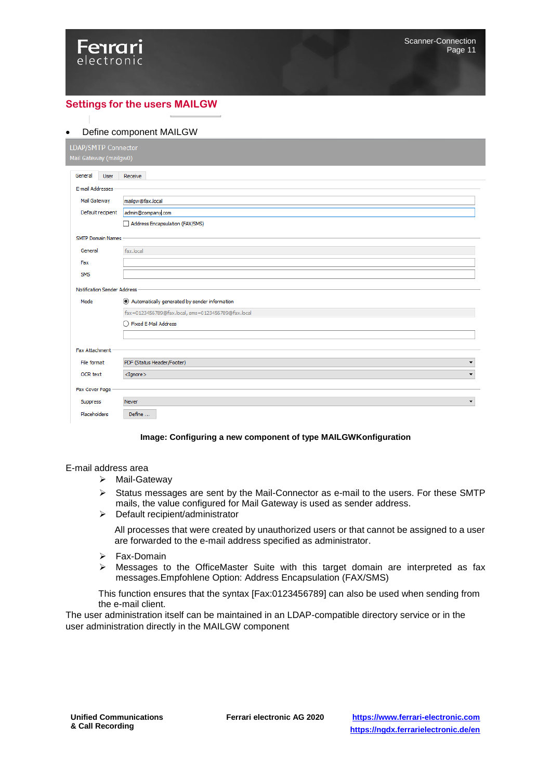

#### **Settings for the users MAILGW**

#### Define component MAILGW

| LDAP/SMTP Connector    |                             |                                                    |
|------------------------|-----------------------------|----------------------------------------------------|
| Mail Gateway (mailgw0) |                             |                                                    |
|                        |                             |                                                    |
| General                | User                        | Receive                                            |
| E-mail Addresses       |                             |                                                    |
| Mail Gateway           |                             | mailgw@fax.local                                   |
|                        | Default recipient           | admin@company.com                                  |
|                        |                             | Address Encapsulation (FAX/SMS)                    |
|                        | <b>SMTP Domain Names</b>    |                                                    |
| General                |                             | fax.local                                          |
| Fax                    |                             |                                                    |
| <b>SMS</b>             |                             |                                                    |
|                        |                             |                                                    |
|                        | Notification Sender Address |                                                    |
| Mode                   |                             | Automatically generated by sender information      |
|                        |                             | fax=0123456789@fax.local, sms=0123456789@fax.local |
|                        |                             | Fixed E-Mail Address                               |
|                        |                             |                                                    |
| <b>Fax Attachment</b>  |                             |                                                    |
| File format            |                             | PDF (Status Header/Footer)<br>▼                    |
| OCR text               |                             | $<$ Iqnore $>$<br>$\overline{\phantom{a}}$         |
|                        |                             |                                                    |
| Fax Cover Page         |                             |                                                    |
| Suppress               |                             | Never<br>▼                                         |
| Placeholders           |                             | Define                                             |

#### **Image: Configuring a new component of type MAILGWKonfiguration**

#### E-mail address area

- > Mail-Gateway
- $\triangleright$  Status messages are sent by the Mail-Connector as e-mail to the users. For these SMTP mails, the value configured for Mail Gateway is used as sender address.
- Default recipient/administrator

All processes that were created by unauthorized users or that cannot be assigned to a user are forwarded to the e-mail address specified as administrator.

- > Fax-Domain
- Messages to the OfficeMaster Suite with this target domain are interpreted as fax messages.Empfohlene Option: Address Encapsulation (FAX/SMS)

This function ensures that the syntax [Fax:0123456789] can also be used when sending from the e-mail client.

The user administration itself can be maintained in an LDAP-compatible directory service or in the user administration directly in the MAILGW component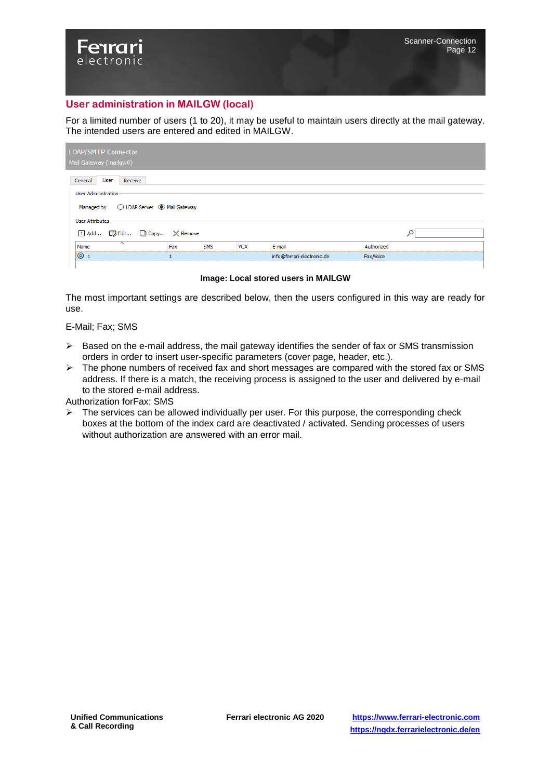#### **User administration in MAILGW (local)**

For a limited number of users (1 to 20), it may be useful to maintain users directly at the mail gateway. The intended users are entered and edited in MAILGW.

| LDAP/SMTP Connector<br>Mail Gateway (mailgw0)                                                      |                              |            |            |                            |            |  |
|----------------------------------------------------------------------------------------------------|------------------------------|------------|------------|----------------------------|------------|--|
| General<br>User<br>Receive<br>User Administration<br>Managed by  (C) LDAP Server  (C) Mail Gateway |                              |            |            |                            |            |  |
| User Attributes                                                                                    |                              |            |            |                            |            |  |
|                                                                                                    | H Add 5 Edit □ Copy X Remove |            |            |                            |            |  |
| $\overline{\phantom{1}}$<br>Name                                                                   | Fax                          | <b>SMS</b> | <b>VOX</b> | E-mail                     | Authorized |  |
| 81                                                                                                 |                              |            |            | info@ferrari-electronic.de | Fax/Voice  |  |

**Image: Local stored users in MAILGW**

The most important settings are described below, then the users configured in this way are ready for use.

E-Mail; Fax; SMS

electronic

- $\triangleright$  Based on the e-mail address, the mail gateway identifies the sender of fax or SMS transmission orders in order to insert user-specific parameters (cover page, header, etc.).
- $\triangleright$  The phone numbers of received fax and short messages are compared with the stored fax or SMS address. If there is a match, the receiving process is assigned to the user and delivered by e-mail to the stored e-mail address.

Authorization forFax; SMS

 $\triangleright$  The services can be allowed individually per user. For this purpose, the corresponding check boxes at the bottom of the index card are deactivated / activated. Sending processes of users without authorization are answered with an error mail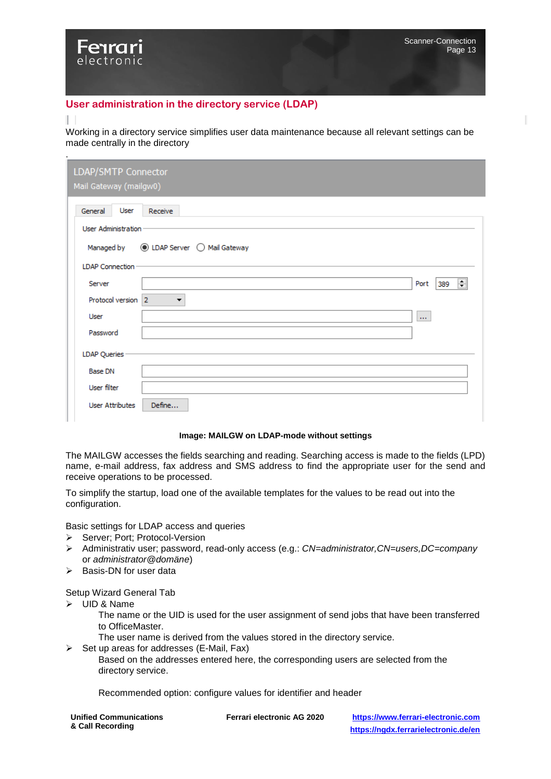#### **User administration in the directory service (LDAP)**

#### Т

electronic

.

Working in a directory service simplifies user data maintenance because all relevant settings can be made centrally in the directory

| LDAP/SMTP Connector<br>Mail Gateway (mailgw0) |                              |                               |
|-----------------------------------------------|------------------------------|-------------------------------|
| General<br>User                               | Receive                      |                               |
| User Administration                           |                              |                               |
| Managed by                                    | ◉ LDAP Server ( Mail Gateway |                               |
| <b>LDAP Connection</b>                        |                              |                               |
| Server                                        |                              | $\equiv$<br>Port<br>389       |
| Protocol version 2                            | ▼                            |                               |
| User                                          |                              | $\mathbf{r}$ and $\mathbf{r}$ |
| Password                                      |                              |                               |
| <b>LDAP Queries</b>                           |                              |                               |
| <b>Base DN</b>                                |                              |                               |
| User filter                                   |                              |                               |
| <b>User Attributes</b>                        | Define                       |                               |

#### **Image: MAILGW on LDAP-mode without settings**

The MAILGW accesses the fields searching and reading. Searching access is made to the fields (LPD) name, e-mail address, fax address and SMS address to find the appropriate user for the send and receive operations to be processed.

To simplify the startup, load one of the available templates for the values to be read out into the configuration.

Basic settings for LDAP access and queries

- ▶ Server; Port; Protocol-Version
- Administrativ user; password, read-only access (e.g.: *CN=administrator,CN=users,DC=company* or *administrator@domäne*)
- $\triangleright$  Basis-DN for user data

Setup Wizard General Tab

- $\triangleright$  UID & Name
	- The name or the UID is used for the user assignment of send jobs that have been transferred to OfficeMaster.
	- The user name is derived from the values stored in the directory service.
- $\triangleright$  Set up areas for addresses (E-Mail, Fax)

Based on the addresses entered here, the corresponding users are selected from the directory service.

Recommended option: configure values for identifier and header

| <b>Unified Communications</b> |  |
|-------------------------------|--|
| & Call Recording              |  |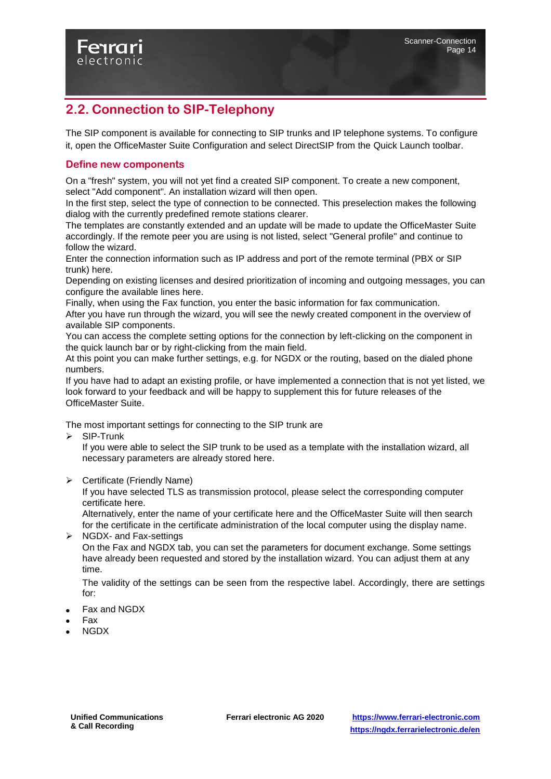

## <span id="page-13-0"></span>**2.2. Connection to SIP-Telephony**

The SIP component is available for connecting to SIP trunks and IP telephone systems. To configure it, open the OfficeMaster Suite Configuration and select DirectSIP from the Quick Launch toolbar.

#### **Define new components**

On a "fresh" system, you will not yet find a created SIP component. To create a new component, select "Add component". An installation wizard will then open.

In the first step, select the type of connection to be connected. This preselection makes the following dialog with the currently predefined remote stations clearer.

The templates are constantly extended and an update will be made to update the OfficeMaster Suite accordingly. If the remote peer you are using is not listed, select "General profile" and continue to follow the wizard.

Enter the connection information such as IP address and port of the remote terminal (PBX or SIP trunk) here.

Depending on existing licenses and desired prioritization of incoming and outgoing messages, you can configure the available lines here.

Finally, when using the Fax function, you enter the basic information for fax communication. After you have run through the wizard, you will see the newly created component in the overview of available SIP components.

You can access the complete setting options for the connection by left-clicking on the component in the quick launch bar or by right-clicking from the main field.

At this point you can make further settings, e.g. for NGDX or the routing, based on the dialed phone numbers.

If you have had to adapt an existing profile, or have implemented a connection that is not yet listed, we look forward to your feedback and will be happy to supplement this for future releases of the OfficeMaster Suite.

The most important settings for connecting to the SIP trunk are

 $\triangleright$  SIP-Trunk

If you were able to select the SIP trunk to be used as a template with the installation wizard, all necessary parameters are already stored here.

 $\triangleright$  Certificate (Friendly Name)

If you have selected TLS as transmission protocol, please select the corresponding computer certificate here.

Alternatively, enter the name of your certificate here and the OfficeMaster Suite will then search for the certificate in the certificate administration of the local computer using the display name.  $\triangleright$  NGDX- and Fax-settings

On the Fax and NGDX tab, you can set the parameters for document exchange. Some settings have already been requested and stored by the installation wizard. You can adjust them at any time.

The validity of the settings can be seen from the respective label. Accordingly, there are settings for:

- Fax and NGDX
- Fax
- NGDX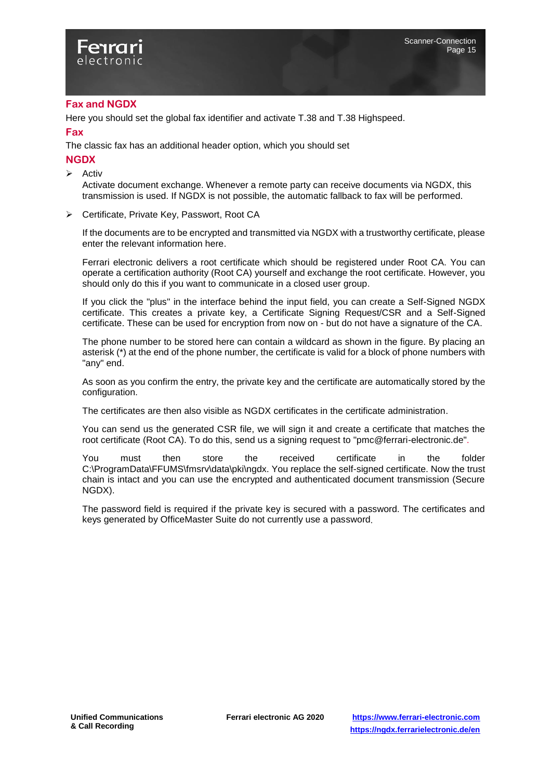

#### **Fax and NGDX**

Here you should set the global fax identifier and activate T.38 and T.38 Highspeed.

#### **Fax**

The classic fax has an additional header option, which you should set

**NGDX**

 $\triangleright$  Activ

Activate document exchange. Whenever a remote party can receive documents via NGDX, this transmission is used. If NGDX is not possible, the automatic fallback to fax will be performed.

▶ Certificate, Private Key, Passwort, Root CA

If the documents are to be encrypted and transmitted via NGDX with a trustworthy certificate, please enter the relevant information here.

Ferrari electronic delivers a root certificate which should be registered under Root CA. You can operate a certification authority (Root CA) yourself and exchange the root certificate. However, you should only do this if you want to communicate in a closed user group.

If you click the "plus" in the interface behind the input field, you can create a Self-Signed NGDX certificate. This creates a private key, a Certificate Signing Request/CSR and a Self-Signed certificate. These can be used for encryption from now on - but do not have a signature of the CA.

The phone number to be stored here can contain a wildcard as shown in the figure. By placing an asterisk (\*) at the end of the phone number, the certificate is valid for a block of phone numbers with "any" end.

As soon as you confirm the entry, the private key and the certificate are automatically stored by the configuration.

The certificates are then also visible as NGDX certificates in the certificate administration.

You can send us the generated CSR file, we will sign it and create a certificate that matches the root certificate (Root CA). To do this, send us a signing request to "pmc@ferrari-electronic.de".

You must then store the received certificate in the folder C:\ProgramData\FFUMS\fmsrv\data\pki\ngdx. You replace the self-signed certificate. Now the trust chain is intact and you can use the encrypted and authenticated document transmission (Secure NGDX).

The password field is required if the private key is secured with a password. The certificates and keys generated by OfficeMaster Suite do not currently use a password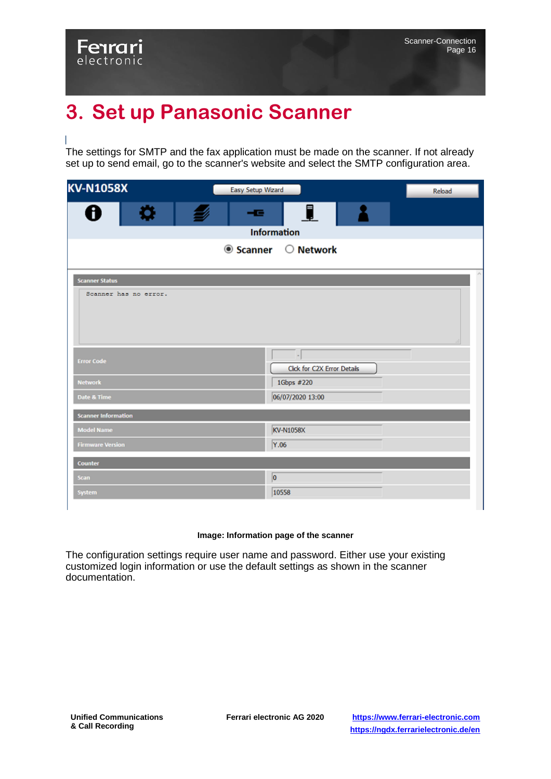## <span id="page-15-0"></span>**3. Set up Panasonic Scanner**

The settings for SMTP and the fax application must be made on the scanner. If not already set up to send email, go to the scanner's website and select the SMTP configuration area.

| <b>KV-N1058X</b>           | Easy Setup Wizard |                                   | Reload |
|----------------------------|-------------------|-----------------------------------|--------|
| o<br>Ħ                     | - -               | ⊥                                 |        |
|                            |                   | <b>Information</b>                |        |
|                            |                   | $\bullet$ Scanner $\circ$ Network |        |
|                            |                   |                                   |        |
| <b>Scanner Status</b>      |                   |                                   |        |
| Scanner has no error.      |                   |                                   |        |
|                            |                   |                                   |        |
| <b>Error Code</b>          |                   | Click for C2X Error Details       |        |
| <b>Network</b>             |                   | 1Gbps #220                        |        |
| Date & Time                |                   | 06/07/2020 13:00                  |        |
| <b>Scanner Information</b> |                   |                                   |        |
| <b>Model Name</b>          |                   | KV-N1058X                         |        |
| <b>Firmware Version</b>    |                   | Y.06                              |        |
| <b>Counter</b>             |                   |                                   |        |
| <b>Scan</b>                |                   | $\boxed{0}$                       |        |
| System                     |                   | 10558                             |        |
|                            |                   |                                   |        |

#### **Image: Information page of the scanner**

The configuration settings require user name and password. Either use your existing customized login information or use the default settings as shown in the scanner documentation.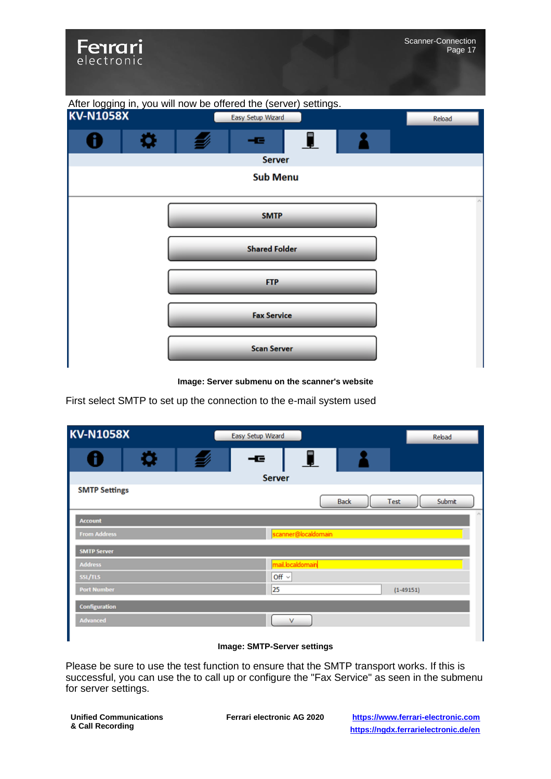Fenrari electronic



**Image: Server submenu on the scanner's website**

First select SMTP to set up the connection to the e-mail system used

| <b>KV-N1058X</b>     | Easy Setup Wizard   | Reload                |
|----------------------|---------------------|-----------------------|
| Ö,<br>f<br>W)        | L<br>ᆍ              |                       |
|                      | Server              |                       |
| <b>SMTP Settings</b> | <b>Back</b>         | <b>Submit</b><br>Test |
| <b>Account</b>       |                     |                       |
| <b>From Address</b>  | scanner@localdomain |                       |
| <b>SMTP Server</b>   |                     |                       |
| <b>Address</b>       | mail.localdomain    |                       |
| SSL/TLS              | Off $\sim$          |                       |
| <b>Port Number</b>   | 25                  | $(1 - 49151)$         |
| Configuration        |                     |                       |
| <b>Advanced</b>      | ٧                   |                       |

#### **Image: SMTP-Server settings**

Please be sure to use the test function to ensure that the SMTP transport works. If this is successful, you can use the to call up or configure the "Fax Service" as seen in the submenu for server settings.